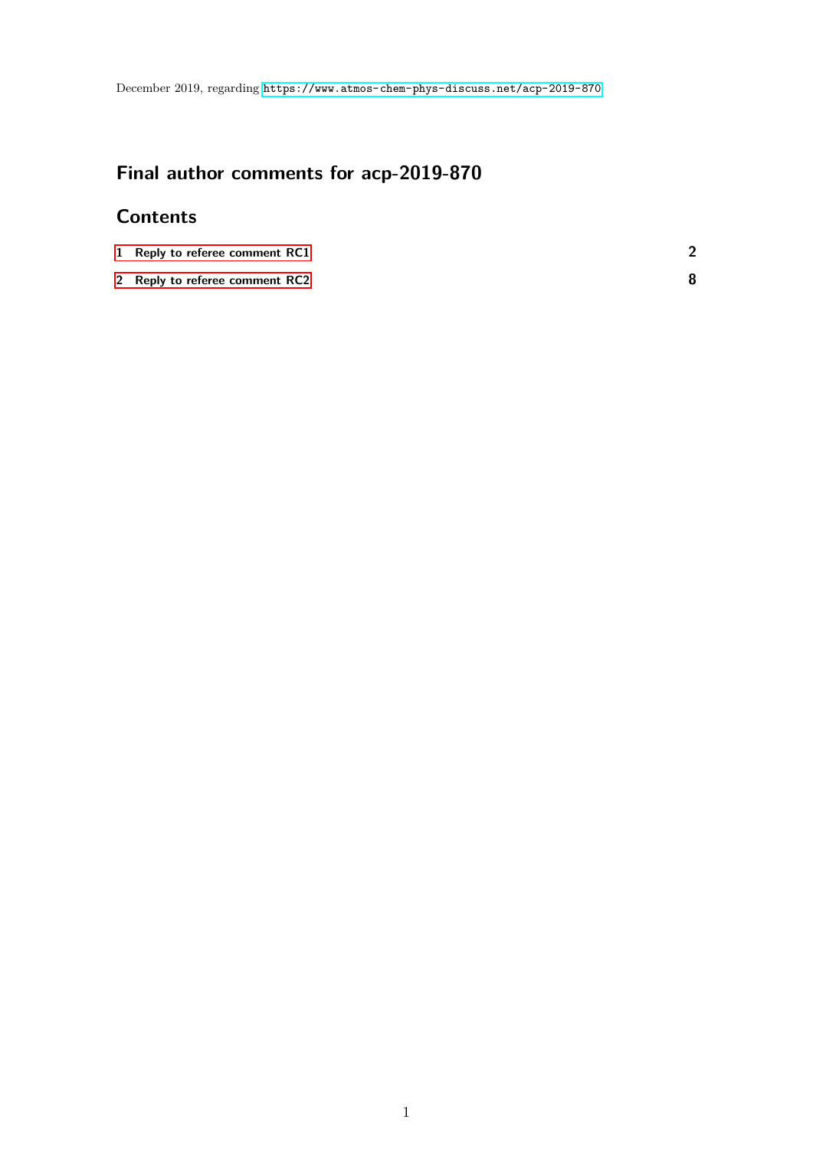# **Final author comments for acp-2019-870**

# **Contents**

| 1 Reply to referee comment RC1 |  |
|--------------------------------|--|
| 2 Reply to referee comment RC2 |  |

1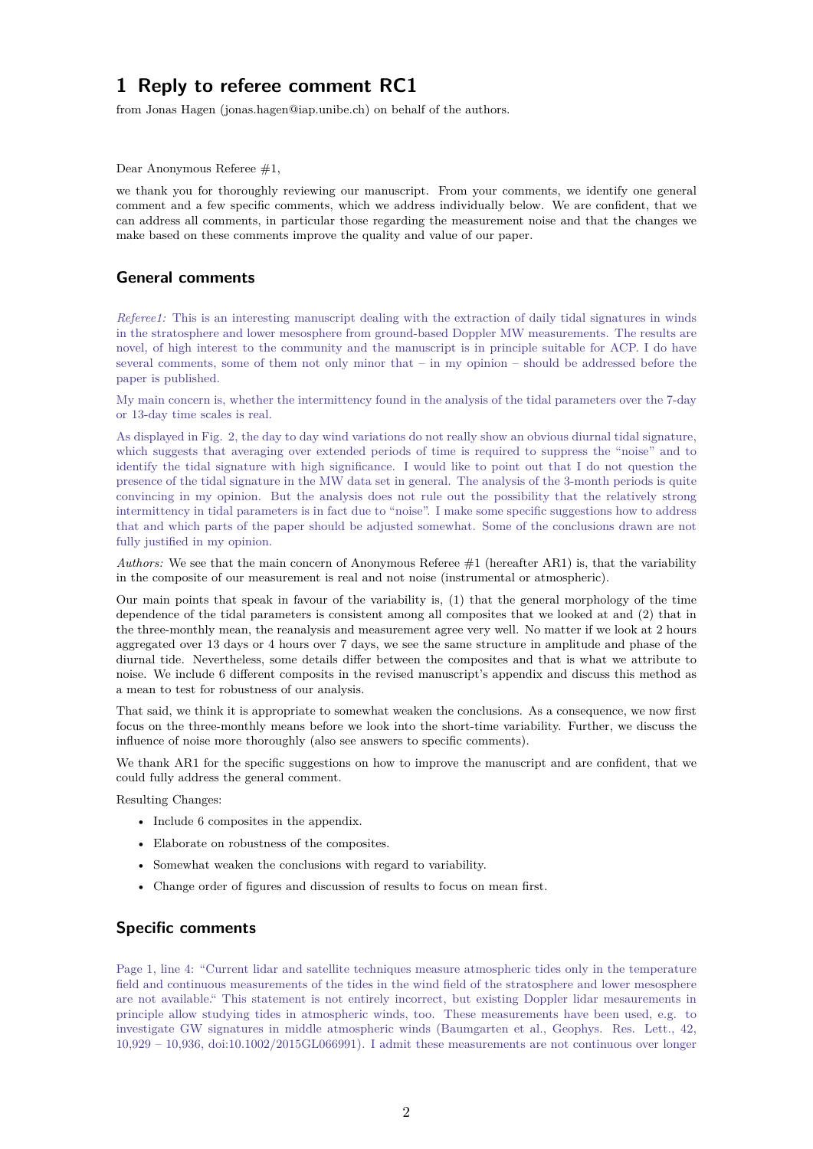<span id="page-1-0"></span>from Jonas Hagen (jonas.hagen@iap.unibe.ch) on behalf of the authors.

Dear Anonymous Referee #1,

we thank you for thoroughly reviewing our manuscript. From your comments, we identify one general comment and a few specific comments, which we address individually below. We are confident, that we can address all comments, in particular those regarding the measurement noise and that the changes we make based on these comments improve the quality and value of our paper.

## **General comments**

*Referee1:* This is an interesting manuscript dealing with the extraction of daily tidal signatures in winds in the stratosphere and lower mesosphere from ground-based Doppler MW measurements. The results are novel, of high interest to the community and the manuscript is in principle suitable for ACP. I do have several comments, some of them not only minor that – in my opinion – should be addressed before the paper is published.

My main concern is, whether the intermittency found in the analysis of the tidal parameters over the 7-day or 13-day time scales is real.

As displayed in Fig. 2, the day to day wind variations do not really show an obvious diurnal tidal signature, which suggests that averaging over extended periods of time is required to suppress the "noise" and to identify the tidal signature with high significance. I would like to point out that I do not question the presence of the tidal signature in the MW data set in general. The analysis of the 3-month periods is quite convincing in my opinion. But the analysis does not rule out the possibility that the relatively strong intermittency in tidal parameters is in fact due to "noise". I make some specific suggestions how to address that and which parts of the paper should be adjusted somewhat. Some of the conclusions drawn are not fully justified in my opinion.

*Authors:* We see that the main concern of Anonymous Referee #1 (hereafter AR1) is, that the variability in the composite of our measurement is real and not noise (instrumental or atmospheric).

Our main points that speak in favour of the variability is, (1) that the general morphology of the time dependence of the tidal parameters is consistent among all composites that we looked at and (2) that in the three-monthly mean, the reanalysis and measurement agree very well. No matter if we look at 2 hours aggregated over 13 days or 4 hours over 7 days, we see the same structure in amplitude and phase of the diurnal tide. Nevertheless, some details differ between the composites and that is what we attribute to noise. We include 6 different composits in the revised manuscript's appendix and discuss this method as a mean to test for robustness of our analysis.

That said, we think it is appropriate to somewhat weaken the conclusions. As a consequence, we now first focus on the three-monthly means before we look into the short-time variability. Further, we discuss the influence of noise more thoroughly (also see answers to specific comments).

We thank AR1 for the specific suggestions on how to improve the manuscript and are confident, that we could fully address the general comment.

Resulting Changes:

- Include 6 composites in the appendix.
- Elaborate on robustness of the composites.
- Somewhat weaken the conclusions with regard to variability.
- Change order of figures and discussion of results to focus on mean first.

## **Specific comments**

Page 1, line 4: "Current lidar and satellite techniques measure atmospheric tides only in the temperature field and continuous measurements of the tides in the wind field of the stratosphere and lower mesosphere are not available." This statement is not entirely incorrect, but existing Doppler lidar mesaurements in principle allow studying tides in atmospheric winds, too. These measurements have been used, e.g. to investigate GW signatures in middle atmospheric winds (Baumgarten et al., Geophys. Res. Lett., 42, 10,929 – 10,936, doi:10.1002/2015GL066991). I admit these measurements are not continuous over longer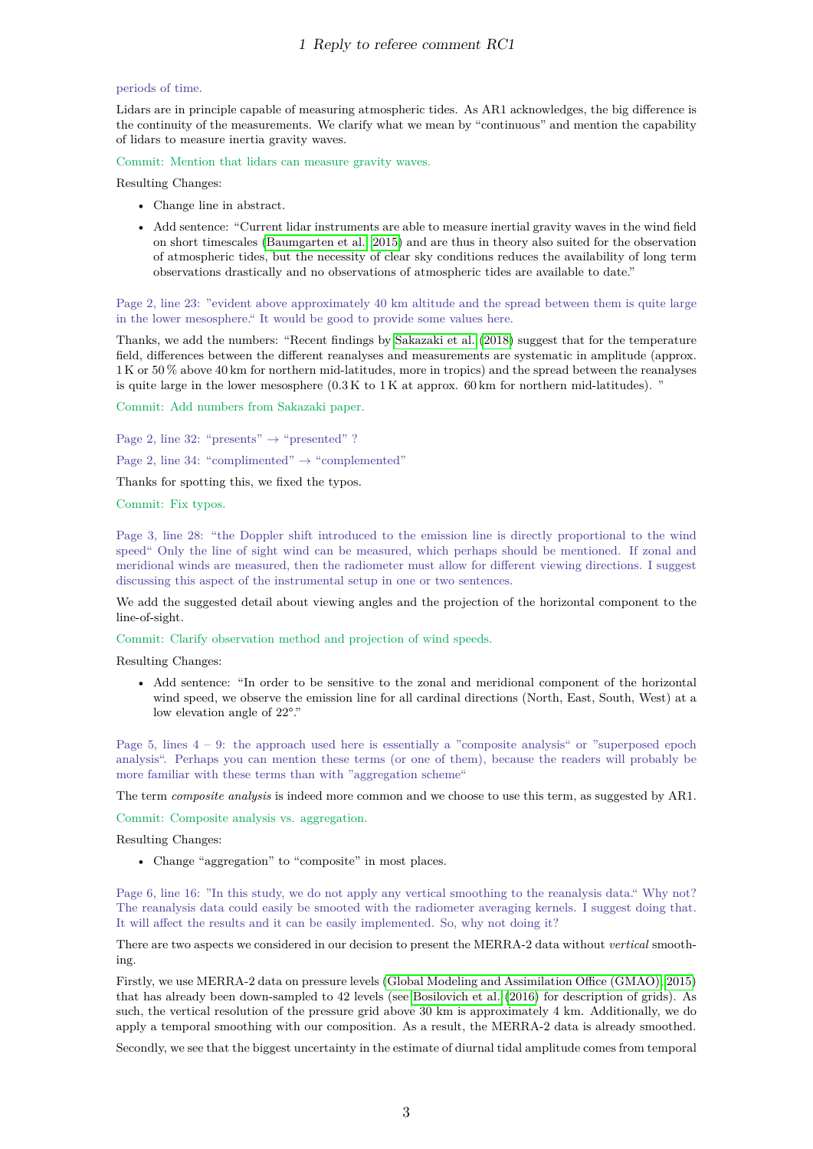## periods of time.

Lidars are in principle capable of measuring atmospheric tides. As AR1 acknowledges, the big difference is the continuity of the measurements. We clarify what we mean by "continuous" and mention the capability of lidars to measure inertia gravity waves.

Commit: Mention that lidars can measure gravity waves.

Resulting Changes:

- Change line in abstract.
- Add sentence: "Current lidar instruments are able to measure inertial gravity waves in the wind field on short timescales [\(Baumgarten et al., 2015\)](#page-11-0) and are thus in theory also suited for the observation of atmospheric tides, but the necessity of clear sky conditions reduces the availability of long term observations drastically and no observations of atmospheric tides are available to date."

Page 2, line 23: "evident above approximately 40 km altitude and the spread between them is quite large in the lower mesosphere." It would be good to provide some values here.

Thanks, we add the numbers: "Recent findings by [Sakazaki et al.](#page-11-1) [\(2018\)](#page-11-1) suggest that for the temperature field, differences between the different reanalyses and measurements are systematic in amplitude (approx. 1 K or 50 % above 40 km for northern mid-latitudes, more in tropics) and the spread between the reanalyses is quite large in the lower mesosphere  $(0.3K \text{ to } 1K \text{ at approx. } 60 \text{ km for northern mid-latitudes}).$ "

Commit: Add numbers from Sakazaki paper.

Page 2, line 32: "presents"  $\rightarrow$  "presented" ?

Page 2, line 34: "complimented"  $\rightarrow$  "complemented"

Thanks for spotting this, we fixed the typos.

Commit: Fix typos.

Page 3, line 28: "the Doppler shift introduced to the emission line is directly proportional to the wind speed" Only the line of sight wind can be measured, which perhaps should be mentioned. If zonal and meridional winds are measured, then the radiometer must allow for different viewing directions. I suggest discussing this aspect of the instrumental setup in one or two sentences.

We add the suggested detail about viewing angles and the projection of the horizontal component to the line-of-sight.

Commit: Clarify observation method and projection of wind speeds.

Resulting Changes:

• Add sentence: "In order to be sensitive to the zonal and meridional component of the horizontal wind speed, we observe the emission line for all cardinal directions (North, East, South, West) at a low elevation angle of 22°."

Page 5, lines  $4 - 9$ : the approach used here is essentially a "composite analysis" or "superposed epoch analysis". Perhaps you can mention these terms (or one of them), because the readers will probably be more familiar with these terms than with "aggregation scheme"

The term *composite analysis* is indeed more common and we choose to use this term, as suggested by AR1.

Commit: Composite analysis vs. aggregation.

Resulting Changes:

• Change "aggregation" to "composite" in most places.

Page 6, line 16: "In this study, we do not apply any vertical smoothing to the reanalysis data." Why not? The reanalysis data could easily be smooted with the radiometer averaging kernels. I suggest doing that. It will affect the results and it can be easily implemented. So, why not doing it?

There are two aspects we considered in our decision to present the MERRA-2 data without *vertical* smoothing.

Firstly, we use MERRA-2 data on pressure levels [\(Global Modeling and Assimilation Office \(GMAO\), 2015\)](#page-11-2) that has already been down-sampled to 42 levels (see [Bosilovich et al.](#page-11-3) [\(2016\)](#page-11-3) for description of grids). As such, the vertical resolution of the pressure grid above 30 km is approximately 4 km. Additionally, we do apply a temporal smoothing with our composition. As a result, the MERRA-2 data is already smoothed.

Secondly, we see that the biggest uncertainty in the estimate of diurnal tidal amplitude comes from temporal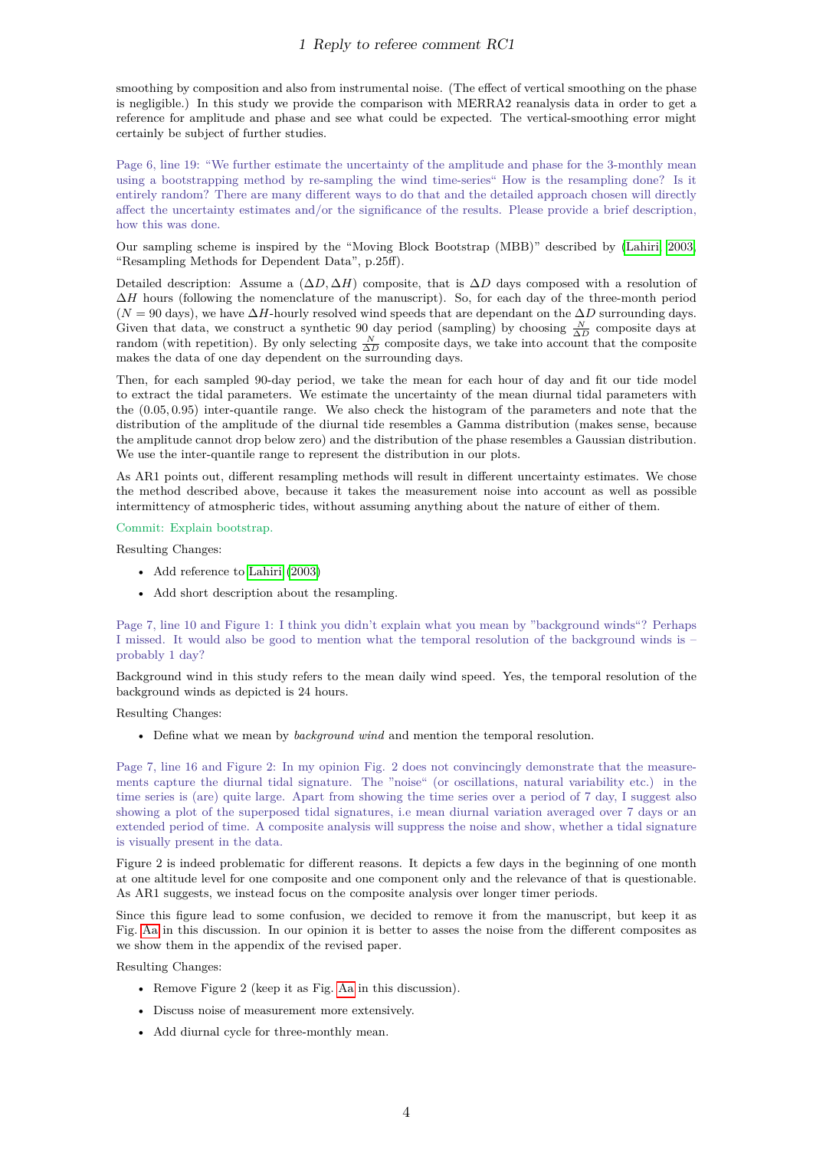smoothing by composition and also from instrumental noise. (The effect of vertical smoothing on the phase is negligible.) In this study we provide the comparison with MERRA2 reanalysis data in order to get a reference for amplitude and phase and see what could be expected. The vertical-smoothing error might certainly be subject of further studies.

Page 6, line 19: "We further estimate the uncertainty of the amplitude and phase for the 3-monthly mean using a bootstrapping method by re-sampling the wind time-series" How is the resampling done? Is it entirely random? There are many different ways to do that and the detailed approach chosen will directly affect the uncertainty estimates and/or the significance of the results. Please provide a brief description, how this was done.

Our sampling scheme is inspired by the "Moving Block Bootstrap (MBB)" described by [\(Lahiri, 2003,](#page-11-4) "Resampling Methods for Dependent Data", p.25ff).

Detailed description: Assume a (∆*D,* ∆*H*) composite, that is ∆*D* days composed with a resolution of ∆*H* hours (following the nomenclature of the manuscript). So, for each day of the three-month period  $(N = 90 \text{ days})$ , we have  $\Delta H$ -hourly resolved wind speeds that are dependant on the  $\Delta D$  surrounding days. Given that data, we construct a synthetic 90 day period (sampling) by choosing  $\frac{N}{\Delta D}$  composite days at random (with repetition). By only selecting  $\frac{N}{\Delta D}$  composite days, we take into account that the composite makes the data of one day dependent on the surrounding days.

Then, for each sampled 90-day period, we take the mean for each hour of day and fit our tide model to extract the tidal parameters. We estimate the uncertainty of the mean diurnal tidal parameters with the (0*.*05*,* 0*.*95) inter-quantile range. We also check the histogram of the parameters and note that the distribution of the amplitude of the diurnal tide resembles a Gamma distribution (makes sense, because the amplitude cannot drop below zero) and the distribution of the phase resembles a Gaussian distribution. We use the inter-quantile range to represent the distribution in our plots.

As AR1 points out, different resampling methods will result in different uncertainty estimates. We chose the method described above, because it takes the measurement noise into account as well as possible intermittency of atmospheric tides, without assuming anything about the nature of either of them.

## Commit: Explain bootstrap.

Resulting Changes:

- Add reference to [Lahiri](#page-11-4) [\(2003\)](#page-11-4)
- Add short description about the resampling.

Page 7, line 10 and Figure 1: I think you didn't explain what you mean by "background winds"? Perhaps I missed. It would also be good to mention what the temporal resolution of the background winds is – probably 1 day?

Background wind in this study refers to the mean daily wind speed. Yes, the temporal resolution of the background winds as depicted is 24 hours.

Resulting Changes:

• Define what we mean by *background wind* and mention the temporal resolution.

Page 7, line 16 and Figure 2: In my opinion Fig. 2 does not convincingly demonstrate that the measurements capture the diurnal tidal signature. The "noise" (or oscillations, natural variability etc.) in the time series is (are) quite large. Apart from showing the time series over a period of 7 day, I suggest also showing a plot of the superposed tidal signatures, i.e mean diurnal variation averaged over 7 days or an extended period of time. A composite analysis will suppress the noise and show, whether a tidal signature is visually present in the data.

Figure 2 is indeed problematic for different reasons. It depicts a few days in the beginning of one month at one altitude level for one composite and one component only and the relevance of that is questionable. As AR1 suggests, we instead focus on the composite analysis over longer timer periods.

Since this figure lead to some confusion, we decided to remove it from the manuscript, but keep it as Fig. [Aa](#page-6-0) in this discussion. In our opinion it is better to asses the noise from the different composites as we show them in the appendix of the revised paper.

Resulting Changes:

- Remove Figure 2 (keep it as Fig. [Aa](#page-6-0) in this discussion).
- Discuss noise of measurement more extensively.
- Add diurnal cycle for three-monthly mean.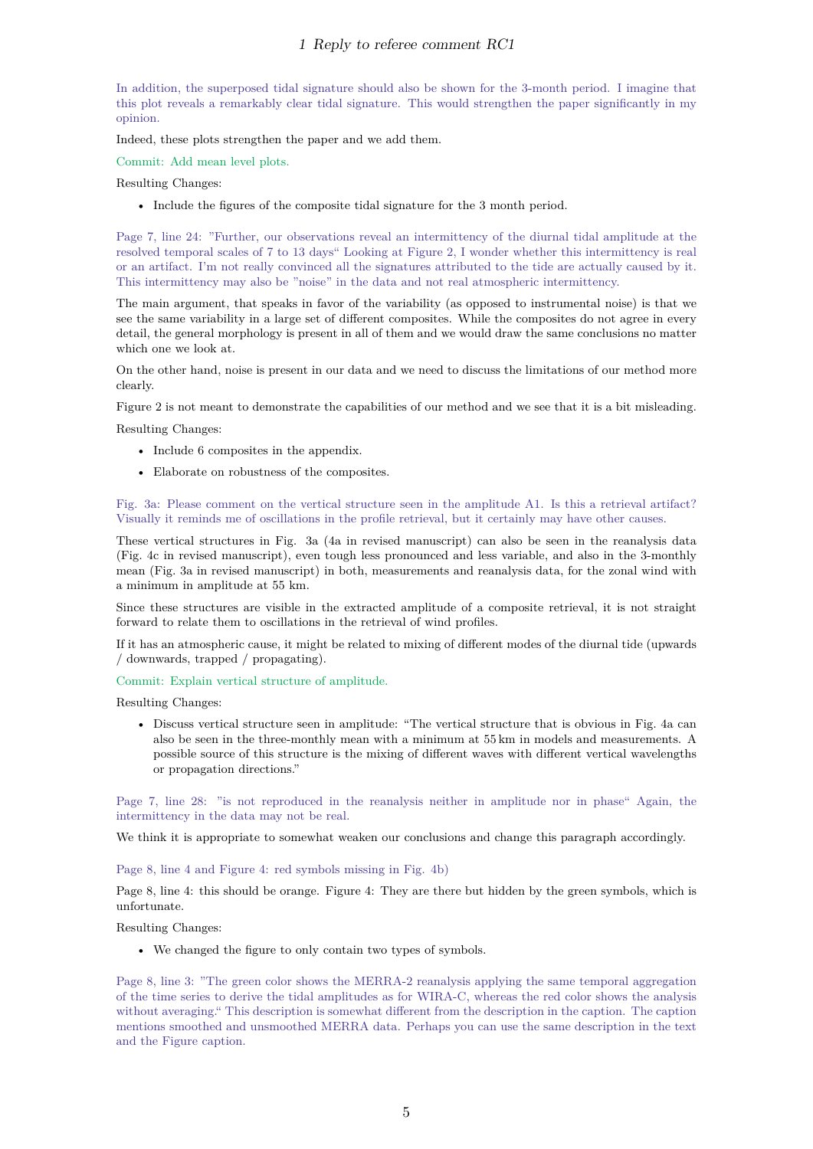In addition, the superposed tidal signature should also be shown for the 3-month period. I imagine that this plot reveals a remarkably clear tidal signature. This would strengthen the paper significantly in my opinion.

Indeed, these plots strengthen the paper and we add them.

Commit: Add mean level plots.

Resulting Changes:

• Include the figures of the composite tidal signature for the 3 month period.

Page 7, line 24: "Further, our observations reveal an intermittency of the diurnal tidal amplitude at the resolved temporal scales of 7 to 13 days" Looking at Figure 2, I wonder whether this intermittency is real or an artifact. I'm not really convinced all the signatures attributed to the tide are actually caused by it. This intermittency may also be "noise" in the data and not real atmospheric intermittency.

The main argument, that speaks in favor of the variability (as opposed to instrumental noise) is that we see the same variability in a large set of different composites. While the composites do not agree in every detail, the general morphology is present in all of them and we would draw the same conclusions no matter which one we look at.

On the other hand, noise is present in our data and we need to discuss the limitations of our method more clearly.

Figure 2 is not meant to demonstrate the capabilities of our method and we see that it is a bit misleading.

Resulting Changes:

- Include 6 composites in the appendix.
- Elaborate on robustness of the composites.

Fig. 3a: Please comment on the vertical structure seen in the amplitude A1. Is this a retrieval artifact? Visually it reminds me of oscillations in the profile retrieval, but it certainly may have other causes.

These vertical structures in Fig. 3a (4a in revised manuscript) can also be seen in the reanalysis data (Fig. 4c in revised manuscript), even tough less pronounced and less variable, and also in the 3-monthly mean (Fig. 3a in revised manuscript) in both, measurements and reanalysis data, for the zonal wind with a minimum in amplitude at 55 km.

Since these structures are visible in the extracted amplitude of a composite retrieval, it is not straight forward to relate them to oscillations in the retrieval of wind profiles.

If it has an atmospheric cause, it might be related to mixing of different modes of the diurnal tide (upwards / downwards, trapped / propagating).

#### Commit: Explain vertical structure of amplitude.

Resulting Changes:

• Discuss vertical structure seen in amplitude: "The vertical structure that is obvious in Fig. 4a can also be seen in the three-monthly mean with a minimum at 55 km in models and measurements. A possible source of this structure is the mixing of different waves with different vertical wavelengths or propagation directions."

Page 7, line 28: "is not reproduced in the reanalysis neither in amplitude nor in phase" Again, the intermittency in the data may not be real.

We think it is appropriate to somewhat weaken our conclusions and change this paragraph accordingly.

#### Page 8, line 4 and Figure 4: red symbols missing in Fig. 4b)

Page 8, line 4: this should be orange. Figure 4: They are there but hidden by the green symbols, which is unfortunate.

Resulting Changes:

• We changed the figure to only contain two types of symbols.

Page 8, line 3: "The green color shows the MERRA-2 reanalysis applying the same temporal aggregation of the time series to derive the tidal amplitudes as for WIRA-C, whereas the red color shows the analysis without averaging." This description is somewhat different from the description in the caption. The caption mentions smoothed and unsmoothed MERRA data. Perhaps you can use the same description in the text and the Figure caption.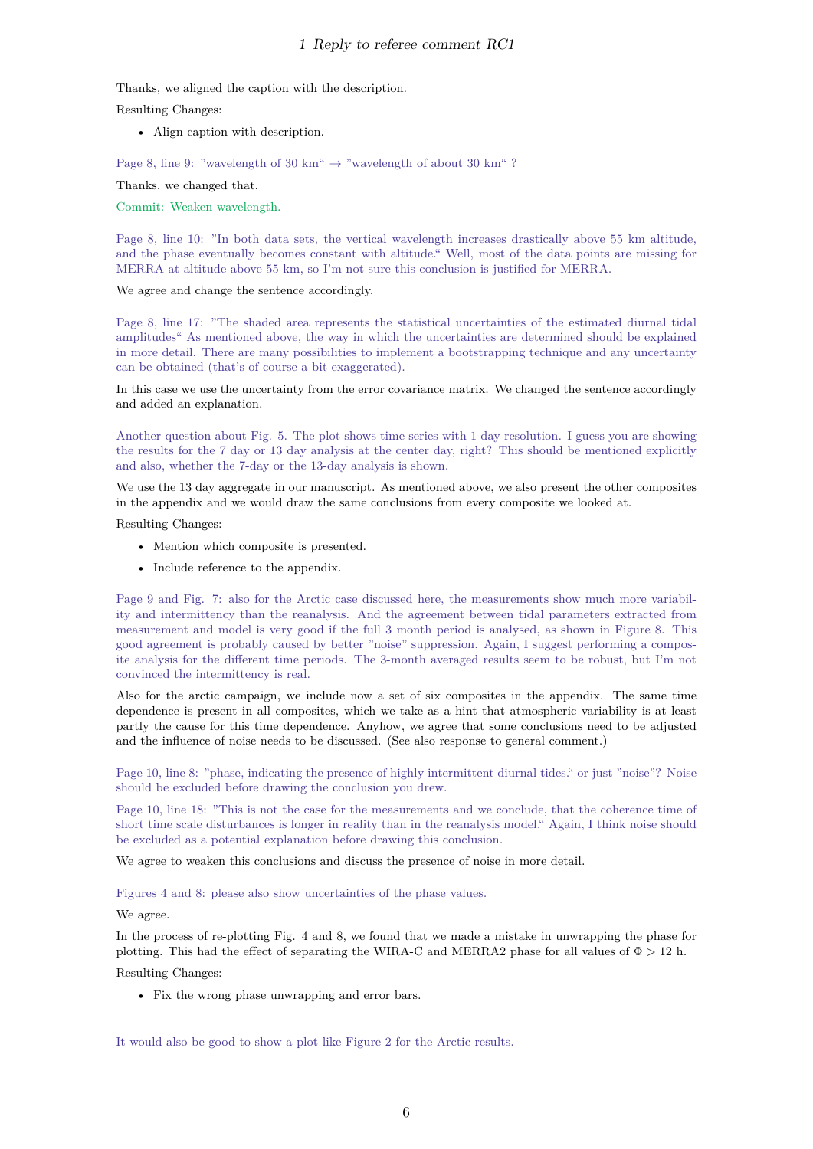Thanks, we aligned the caption with the description.

Resulting Changes:

• Align caption with description.

Page 8, line 9: "wavelength of 30 km"  $\rightarrow$  "wavelength of about 30 km" ?

Thanks, we changed that.

Commit: Weaken wavelength.

Page 8, line 10: "In both data sets, the vertical wavelength increases drastically above 55 km altitude, and the phase eventually becomes constant with altitude." Well, most of the data points are missing for MERRA at altitude above 55 km, so I'm not sure this conclusion is justified for MERRA.

We agree and change the sentence accordingly.

Page 8, line 17: "The shaded area represents the statistical uncertainties of the estimated diurnal tidal amplitudes" As mentioned above, the way in which the uncertainties are determined should be explained in more detail. There are many possibilities to implement a bootstrapping technique and any uncertainty can be obtained (that's of course a bit exaggerated).

In this case we use the uncertainty from the error covariance matrix. We changed the sentence accordingly and added an explanation.

Another question about Fig. 5. The plot shows time series with 1 day resolution. I guess you are showing the results for the 7 day or 13 day analysis at the center day, right? This should be mentioned explicitly and also, whether the 7-day or the 13-day analysis is shown.

We use the 13 day aggregate in our manuscript. As mentioned above, we also present the other composites in the appendix and we would draw the same conclusions from every composite we looked at.

Resulting Changes:

- Mention which composite is presented.
- Include reference to the appendix.

Page 9 and Fig. 7: also for the Arctic case discussed here, the measurements show much more variability and intermittency than the reanalysis. And the agreement between tidal parameters extracted from measurement and model is very good if the full 3 month period is analysed, as shown in Figure 8. This good agreement is probably caused by better "noise" suppression. Again, I suggest performing a composite analysis for the different time periods. The 3-month averaged results seem to be robust, but I'm not convinced the intermittency is real.

Also for the arctic campaign, we include now a set of six composites in the appendix. The same time dependence is present in all composites, which we take as a hint that atmospheric variability is at least partly the cause for this time dependence. Anyhow, we agree that some conclusions need to be adjusted and the influence of noise needs to be discussed. (See also response to general comment.)

Page 10, line 8: "phase, indicating the presence of highly intermittent diurnal tides." or just "noise"? Noise should be excluded before drawing the conclusion you drew.

Page 10, line 18: "This is not the case for the measurements and we conclude, that the coherence time of short time scale disturbances is longer in reality than in the reanalysis model." Again, I think noise should be excluded as a potential explanation before drawing this conclusion.

We agree to weaken this conclusions and discuss the presence of noise in more detail.

Figures 4 and 8: please also show uncertainties of the phase values.

We agree.

In the process of re-plotting Fig. 4 and 8, we found that we made a mistake in unwrapping the phase for plotting. This had the effect of separating the WIRA-C and MERRA2 phase for all values of Φ *>* 12 h.

Resulting Changes:

• Fix the wrong phase unwrapping and error bars.

It would also be good to show a plot like Figure 2 for the Arctic results.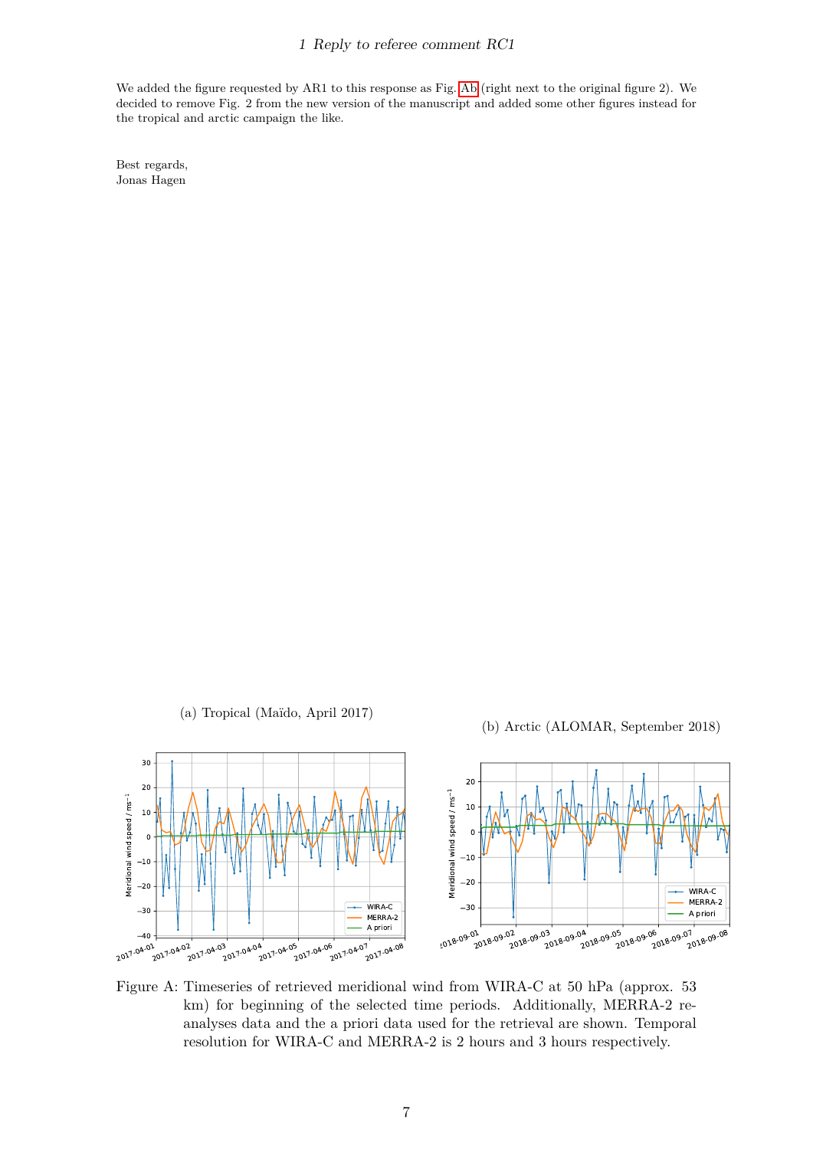We added the figure requested by AR1 to this response as Fig. [Ab](#page-6-0) (right next to the original figure 2). We decided to remove Fig. 2 from the new version of the manuscript and added some other figures instead for the tropical and arctic campaign the like.

Best regards, Jonas Hagen

(a) Tropical (Ma¨ıdo, April 2017)

(b) Arctic (ALOMAR, September 2018)

<span id="page-6-0"></span>

Figure A: Timeseries of retrieved meridional wind from WIRA-C at 50 hPa (approx. 53 km) for beginning of the selected time periods. Additionally, MERRA-2 reanalyses data and the a priori data used for the retrieval are shown. Temporal resolution for WIRA-C and MERRA-2 is 2 hours and 3 hours respectively.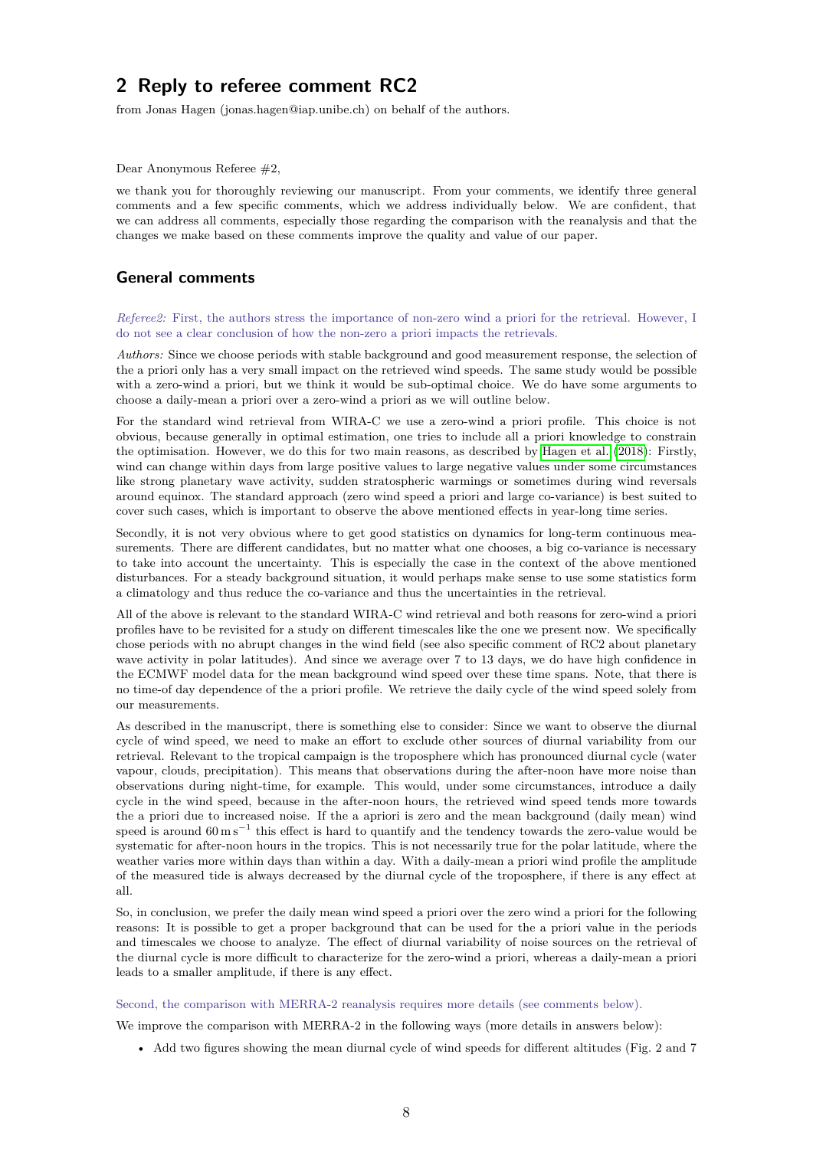<span id="page-7-0"></span>from Jonas Hagen (jonas.hagen@iap.unibe.ch) on behalf of the authors.

Dear Anonymous Referee #2,

we thank you for thoroughly reviewing our manuscript. From your comments, we identify three general comments and a few specific comments, which we address individually below. We are confident, that we can address all comments, especially those regarding the comparison with the reanalysis and that the changes we make based on these comments improve the quality and value of our paper.

## **General comments**

*Referee2:* First, the authors stress the importance of non-zero wind a priori for the retrieval. However, I do not see a clear conclusion of how the non-zero a priori impacts the retrievals.

*Authors:* Since we choose periods with stable background and good measurement response, the selection of the a priori only has a very small impact on the retrieved wind speeds. The same study would be possible with a zero-wind a priori, but we think it would be sub-optimal choice. We do have some arguments to choose a daily-mean a priori over a zero-wind a priori as we will outline below.

For the standard wind retrieval from WIRA-C we use a zero-wind a priori profile. This choice is not obvious, because generally in optimal estimation, one tries to include all a priori knowledge to constrain the optimisation. However, we do this for two main reasons, as described by [Hagen et al.](#page-11-5) [\(2018\)](#page-11-5): Firstly, wind can change within days from large positive values to large negative values under some circumstances like strong planetary wave activity, sudden stratospheric warmings or sometimes during wind reversals around equinox. The standard approach (zero wind speed a priori and large co-variance) is best suited to cover such cases, which is important to observe the above mentioned effects in year-long time series.

Secondly, it is not very obvious where to get good statistics on dynamics for long-term continuous measurements. There are different candidates, but no matter what one chooses, a big co-variance is necessary to take into account the uncertainty. This is especially the case in the context of the above mentioned disturbances. For a steady background situation, it would perhaps make sense to use some statistics form a climatology and thus reduce the co-variance and thus the uncertainties in the retrieval.

All of the above is relevant to the standard WIRA-C wind retrieval and both reasons for zero-wind a priori profiles have to be revisited for a study on different timescales like the one we present now. We specifically chose periods with no abrupt changes in the wind field (see also specific comment of RC2 about planetary wave activity in polar latitudes). And since we average over 7 to 13 days, we do have high confidence in the ECMWF model data for the mean background wind speed over these time spans. Note, that there is no time-of day dependence of the a priori profile. We retrieve the daily cycle of the wind speed solely from our measurements.

As described in the manuscript, there is something else to consider: Since we want to observe the diurnal cycle of wind speed, we need to make an effort to exclude other sources of diurnal variability from our retrieval. Relevant to the tropical campaign is the troposphere which has pronounced diurnal cycle (water vapour, clouds, precipitation). This means that observations during the after-noon have more noise than observations during night-time, for example. This would, under some circumstances, introduce a daily cycle in the wind speed, because in the after-noon hours, the retrieved wind speed tends more towards the a priori due to increased noise. If the a apriori is zero and the mean background (daily mean) wind speed is around  $60 \text{ m s}^{-1}$  this effect is hard to quantify and the tendency towards the zero-value would be systematic for after-noon hours in the tropics. This is not necessarily true for the polar latitude, where the weather varies more within days than within a day. With a daily-mean a priori wind profile the amplitude of the measured tide is always decreased by the diurnal cycle of the troposphere, if there is any effect at all.

So, in conclusion, we prefer the daily mean wind speed a priori over the zero wind a priori for the following reasons: It is possible to get a proper background that can be used for the a priori value in the periods and timescales we choose to analyze. The effect of diurnal variability of noise sources on the retrieval of the diurnal cycle is more difficult to characterize for the zero-wind a priori, whereas a daily-mean a priori leads to a smaller amplitude, if there is any effect.

#### Second, the comparison with MERRA-2 reanalysis requires more details (see comments below).

We improve the comparison with MERRA-2 in the following ways (more details in answers below):

• Add two figures showing the mean diurnal cycle of wind speeds for different altitudes (Fig. 2 and 7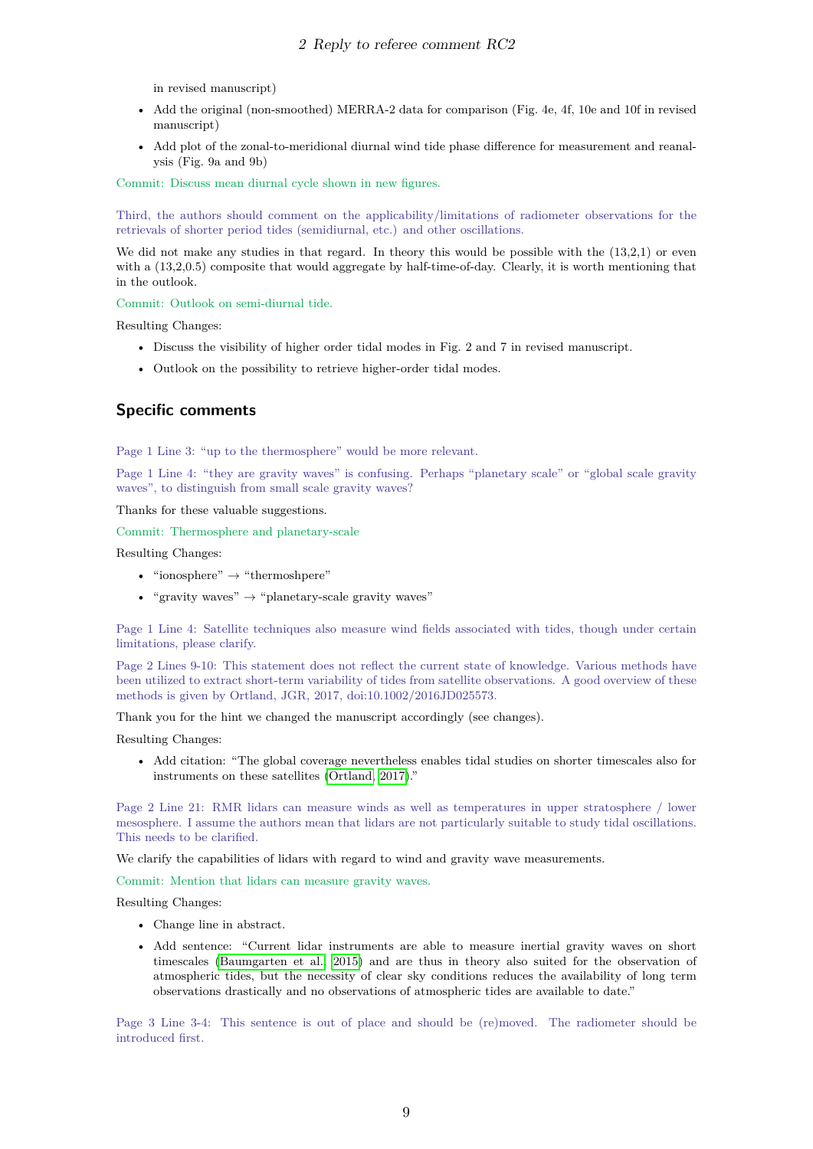in revised manuscript)

- Add the original (non-smoothed) MERRA-2 data for comparison (Fig. 4e, 4f, 10e and 10f in revised manuscript)
- Add plot of the zonal-to-meridional diurnal wind tide phase difference for measurement and reanalysis (Fig. 9a and 9b)

Commit: Discuss mean diurnal cycle shown in new figures.

Third, the authors should comment on the applicability/limitations of radiometer observations for the retrievals of shorter period tides (semidiurnal, etc.) and other oscillations.

We did not make any studies in that regard. In theory this would be possible with the  $(13,2,1)$  or even with a  $(13,2,0.5)$  composite that would aggregate by half-time-of-day. Clearly, it is worth mentioning that in the outlook.

Commit: Outlook on semi-diurnal tide.

Resulting Changes:

- Discuss the visibility of higher order tidal modes in Fig. 2 and 7 in revised manuscript.
- Outlook on the possibility to retrieve higher-order tidal modes.

## **Specific comments**

Page 1 Line 3: "up to the thermosphere" would be more relevant.

Page 1 Line 4: "they are gravity waves" is confusing. Perhaps "planetary scale" or "global scale gravity waves", to distinguish from small scale gravity waves?

Thanks for these valuable suggestions.

Commit: Thermosphere and planetary-scale

Resulting Changes:

- "ionosphere"  $\rightarrow$  "thermoshpere"
- "gravity waves"  $\rightarrow$  "planetary-scale gravity waves"

Page 1 Line 4: Satellite techniques also measure wind fields associated with tides, though under certain limitations, please clarify.

Page 2 Lines 9-10: This statement does not reflect the current state of knowledge. Various methods have been utilized to extract short-term variability of tides from satellite observations. A good overview of these methods is given by Ortland, JGR, 2017, doi:10.1002/2016JD025573.

Thank you for the hint we changed the manuscript accordingly (see changes).

Resulting Changes:

• Add citation: "The global coverage nevertheless enables tidal studies on shorter timescales also for instruments on these satellites [\(Ortland, 2017\)](#page-11-6)."

Page 2 Line 21: RMR lidars can measure winds as well as temperatures in upper stratosphere / lower mesosphere. I assume the authors mean that lidars are not particularly suitable to study tidal oscillations. This needs to be clarified.

We clarify the capabilities of lidars with regard to wind and gravity wave measurements.

Commit: Mention that lidars can measure gravity waves.

Resulting Changes:

- Change line in abstract.
- Add sentence: "Current lidar instruments are able to measure inertial gravity waves on short timescales [\(Baumgarten et al., 2015\)](#page-11-0) and are thus in theory also suited for the observation of atmospheric tides, but the necessity of clear sky conditions reduces the availability of long term observations drastically and no observations of atmospheric tides are available to date."

Page 3 Line 3-4: This sentence is out of place and should be (re)moved. The radiometer should be introduced first.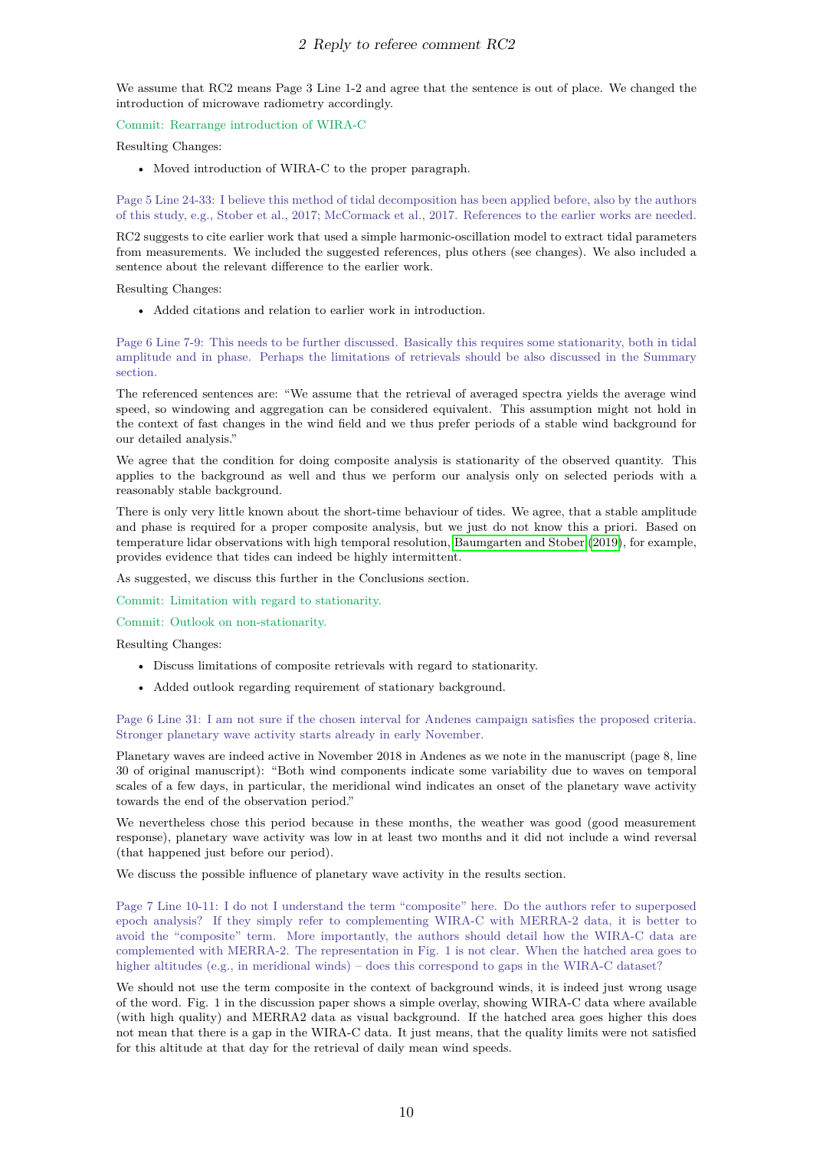We assume that RC2 means Page 3 Line 1-2 and agree that the sentence is out of place. We changed the introduction of microwave radiometry accordingly.

#### Commit: Rearrange introduction of WIRA-C

Resulting Changes:

• Moved introduction of WIRA-C to the proper paragraph.

Page 5 Line 24-33: I believe this method of tidal decomposition has been applied before, also by the authors of this study, e.g., Stober et al., 2017; McCormack et al., 2017. References to the earlier works are needed.

RC2 suggests to cite earlier work that used a simple harmonic-oscillation model to extract tidal parameters from measurements. We included the suggested references, plus others (see changes). We also included a sentence about the relevant difference to the earlier work.

Resulting Changes:

• Added citations and relation to earlier work in introduction.

Page 6 Line 7-9: This needs to be further discussed. Basically this requires some stationarity, both in tidal amplitude and in phase. Perhaps the limitations of retrievals should be also discussed in the Summary section.

The referenced sentences are: "We assume that the retrieval of averaged spectra yields the average wind speed, so windowing and aggregation can be considered equivalent. This assumption might not hold in the context of fast changes in the wind field and we thus prefer periods of a stable wind background for our detailed analysis."

We agree that the condition for doing composite analysis is stationarity of the observed quantity. This applies to the background as well and thus we perform our analysis only on selected periods with a reasonably stable background.

There is only very little known about the short-time behaviour of tides. We agree, that a stable amplitude and phase is required for a proper composite analysis, but we just do not know this a priori. Based on temperature lidar observations with high temporal resolution, [Baumgarten and Stober](#page-11-7) [\(2019\)](#page-11-7), for example, provides evidence that tides can indeed be highly intermittent.

As suggested, we discuss this further in the Conclusions section.

Commit: Limitation with regard to stationarity.

Commit: Outlook on non-stationarity.

Resulting Changes:

- Discuss limitations of composite retrievals with regard to stationarity.
- Added outlook regarding requirement of stationary background.

Page 6 Line 31: I am not sure if the chosen interval for Andenes campaign satisfies the proposed criteria. Stronger planetary wave activity starts already in early November.

Planetary waves are indeed active in November 2018 in Andenes as we note in the manuscript (page 8, line 30 of original manuscript): "Both wind components indicate some variability due to waves on temporal scales of a few days, in particular, the meridional wind indicates an onset of the planetary wave activity towards the end of the observation period."

We nevertheless chose this period because in these months, the weather was good (good measurement response), planetary wave activity was low in at least two months and it did not include a wind reversal (that happened just before our period).

We discuss the possible influence of planetary wave activity in the results section.

Page 7 Line 10-11: I do not I understand the term "composite" here. Do the authors refer to superposed epoch analysis? If they simply refer to complementing WIRA-C with MERRA-2 data, it is better to avoid the "composite" term. More importantly, the authors should detail how the WIRA-C data are complemented with MERRA-2. The representation in Fig. 1 is not clear. When the hatched area goes to higher altitudes (e.g., in meridional winds) – does this correspond to gaps in the WIRA-C dataset?

We should not use the term composite in the context of background winds, it is indeed just wrong usage of the word. Fig. 1 in the discussion paper shows a simple overlay, showing WIRA-C data where available (with high quality) and MERRA2 data as visual background. If the hatched area goes higher this does not mean that there is a gap in the WIRA-C data. It just means, that the quality limits were not satisfied for this altitude at that day for the retrieval of daily mean wind speeds.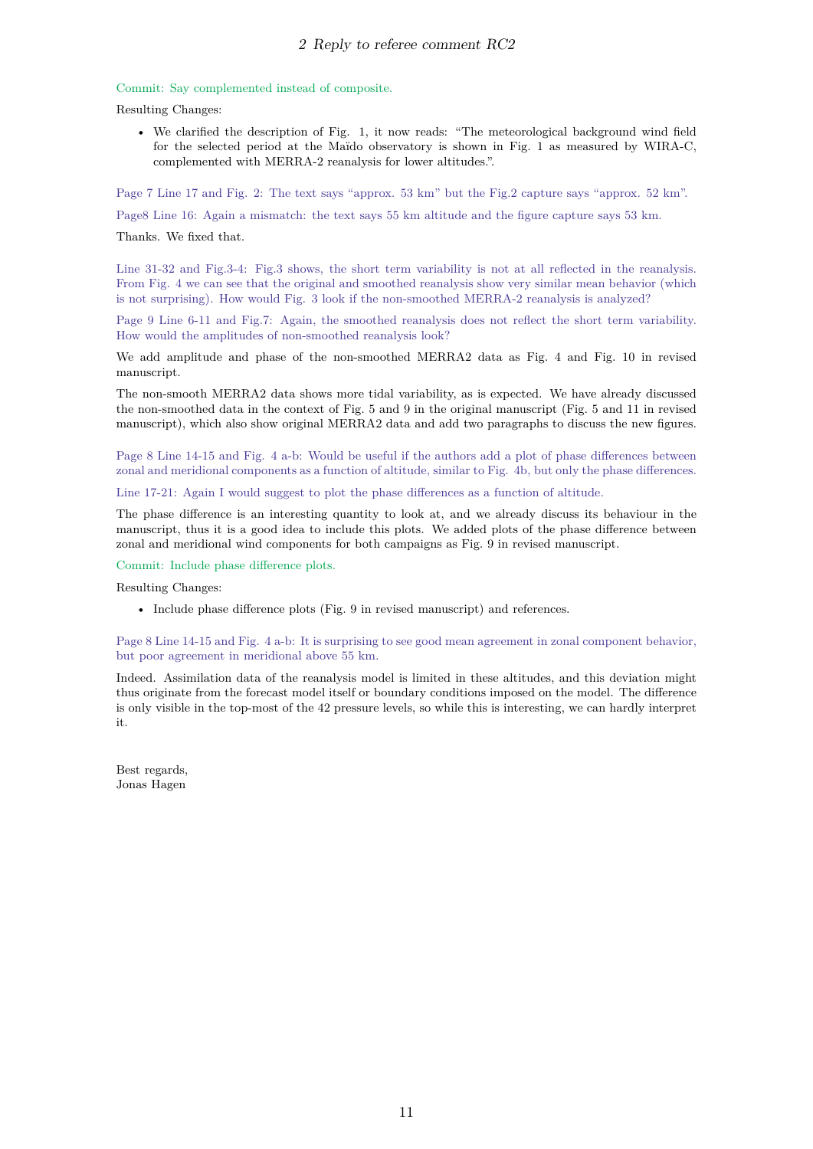#### Commit: Say complemented instead of composite.

Resulting Changes:

• We clarified the description of Fig. 1, it now reads: "The meteorological background wind field for the selected period at the Maïdo observatory is shown in Fig. 1 as measured by WIRA-C, complemented with MERRA-2 reanalysis for lower altitudes.".

Page 7 Line 17 and Fig. 2: The text says "approx. 53 km" but the Fig.2 capture says "approx. 52 km".

Page8 Line 16: Again a mismatch: the text says 55 km altitude and the figure capture says 53 km.

#### Thanks. We fixed that.

Line 31-32 and Fig.3-4: Fig.3 shows, the short term variability is not at all reflected in the reanalysis. From Fig. 4 we can see that the original and smoothed reanalysis show very similar mean behavior (which is not surprising). How would Fig. 3 look if the non-smoothed MERRA-2 reanalysis is analyzed?

Page 9 Line 6-11 and Fig.7: Again, the smoothed reanalysis does not reflect the short term variability. How would the amplitudes of non-smoothed reanalysis look?

We add amplitude and phase of the non-smoothed MERRA2 data as Fig. 4 and Fig. 10 in revised manuscript.

The non-smooth MERRA2 data shows more tidal variability, as is expected. We have already discussed the non-smoothed data in the context of Fig. 5 and 9 in the original manuscript (Fig. 5 and 11 in revised manuscript), which also show original MERRA2 data and add two paragraphs to discuss the new figures.

Page 8 Line 14-15 and Fig. 4 a-b: Would be useful if the authors add a plot of phase differences between zonal and meridional components as a function of altitude, similar to Fig. 4b, but only the phase differences.

Line 17-21: Again I would suggest to plot the phase differences as a function of altitude.

The phase difference is an interesting quantity to look at, and we already discuss its behaviour in the manuscript, thus it is a good idea to include this plots. We added plots of the phase difference between zonal and meridional wind components for both campaigns as Fig. 9 in revised manuscript.

Commit: Include phase difference plots.

Resulting Changes:

• Include phase difference plots (Fig. 9 in revised manuscript) and references.

Page 8 Line 14-15 and Fig. 4 a-b: It is surprising to see good mean agreement in zonal component behavior, but poor agreement in meridional above 55 km.

Indeed. Assimilation data of the reanalysis model is limited in these altitudes, and this deviation might thus originate from the forecast model itself or boundary conditions imposed on the model. The difference is only visible in the top-most of the 42 pressure levels, so while this is interesting, we can hardly interpret it.

Best regards, Jonas Hagen